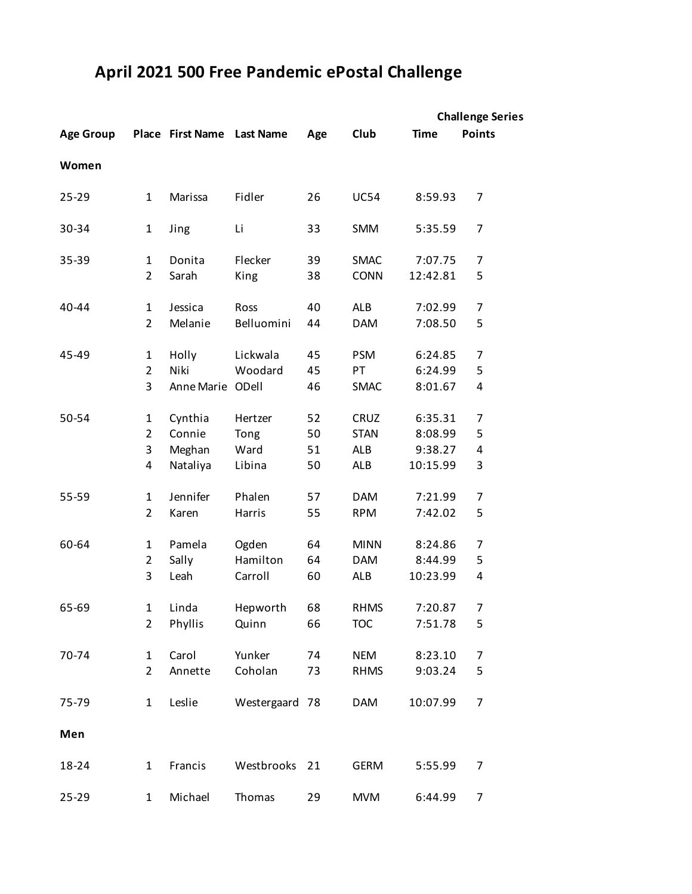## **April 2021 500 Free Pandemic ePostal Challenge**

|                  |                |                            |                |     |             | <b>Challenge Series</b> |                |  |
|------------------|----------------|----------------------------|----------------|-----|-------------|-------------------------|----------------|--|
| <b>Age Group</b> |                | Place First Name Last Name |                | Age | Club        | <b>Time</b>             | <b>Points</b>  |  |
| Women            |                |                            |                |     |             |                         |                |  |
| 25-29            | $\mathbf{1}$   | Marissa                    | Fidler         | 26  | <b>UC54</b> | 8:59.93                 | $\overline{7}$ |  |
| 30-34            | 1              | Jing                       | Li             | 33  | <b>SMM</b>  | 5:35.59                 | $\overline{7}$ |  |
| 35-39            | 1              | Donita                     | Flecker        | 39  | <b>SMAC</b> | 7:07.75                 | 7              |  |
|                  | $\overline{2}$ | Sarah                      | King           | 38  | <b>CONN</b> | 12:42.81                | 5              |  |
| 40-44            | $\mathbf 1$    | Jessica                    | Ross           | 40  | <b>ALB</b>  | 7:02.99                 | 7              |  |
|                  | $\overline{2}$ | Melanie                    | Belluomini     | 44  | <b>DAM</b>  | 7:08.50                 | 5              |  |
| 45-49            | 1              | Holly                      | Lickwala       | 45  | <b>PSM</b>  | 6:24.85                 | 7              |  |
|                  | $\overline{2}$ | Niki                       | Woodard        | 45  | PT          | 6:24.99                 | 5              |  |
|                  | 3              | Anne Marie ODell           |                | 46  | <b>SMAC</b> | 8:01.67                 | $\pmb{4}$      |  |
| 50-54            | 1              | Cynthia                    | Hertzer        | 52  | CRUZ        | 6:35.31                 | $\overline{7}$ |  |
|                  | $\overline{2}$ | Connie                     | Tong           | 50  | <b>STAN</b> | 8:08.99                 | 5              |  |
|                  | 3              | Meghan                     | Ward           | 51  | <b>ALB</b>  | 9:38.27                 | $\pmb{4}$      |  |
|                  | 4              | Nataliya                   | Libina         | 50  | <b>ALB</b>  | 10:15.99                | 3              |  |
| 55-59            | 1              | Jennifer                   | Phalen         | 57  | <b>DAM</b>  | 7:21.99                 | 7              |  |
|                  | $\overline{2}$ | Karen                      | Harris         | 55  | <b>RPM</b>  | 7:42.02                 | 5              |  |
| 60-64            | 1              | Pamela                     | Ogden          | 64  | <b>MINN</b> | 8:24.86                 | 7              |  |
|                  | $\overline{2}$ | Sally                      | Hamilton       | 64  | <b>DAM</b>  | 8:44.99                 | 5              |  |
|                  | 3              | Leah                       | Carroll        | 60  | <b>ALB</b>  | 10:23.99                | $\pmb{4}$      |  |
| 65-69            | $\mathbf{1}$   | Linda                      | Hepworth       | 68  | <b>RHMS</b> | 7:20.87                 | $\overline{7}$ |  |
|                  | $\overline{2}$ | Phyllis                    | Quinn          | 66  | <b>TOC</b>  | 7:51.78                 | 5              |  |
| 70-74            | 1              | Carol                      | Yunker         | 74  | <b>NEM</b>  | 8:23.10                 | $\overline{7}$ |  |
|                  | $\overline{2}$ | Annette                    | Coholan        | 73  | <b>RHMS</b> | 9:03.24                 | 5              |  |
| 75-79            | $\mathbf{1}$   | Leslie                     | Westergaard 78 |     | <b>DAM</b>  | 10:07.99                | $\overline{7}$ |  |
| Men              |                |                            |                |     |             |                         |                |  |
| 18-24            | 1              | Francis                    | Westbrooks     | 21  | <b>GERM</b> | 5:55.99                 | $\overline{7}$ |  |
| 25-29            | $\mathbf{1}$   | Michael                    | Thomas         | 29  | <b>MVM</b>  | 6:44.99                 | $\overline{7}$ |  |